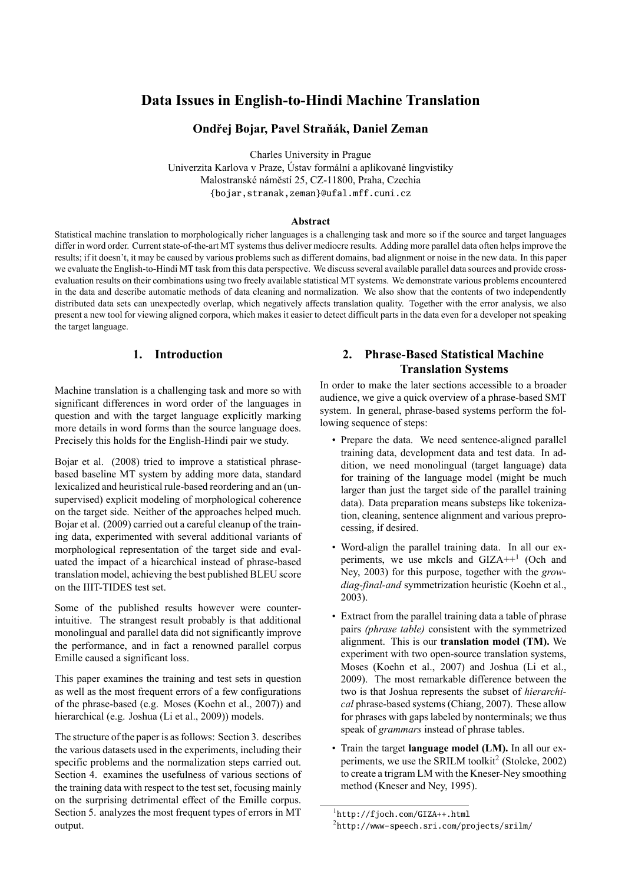# **Data Issues in English-to-Hindi Machine Translation**

# **Ondřej Bojar, Pavel Straňák, Daniel Zeman**

Charles University in Prague

Univerzita Karlova v Praze, Ústav formální a aplikované lingvistiky Malostranské náměstí 25, CZ-11800, Praha, Czechia {bojar,stranak,zeman}@ufal.mff.cuni.cz

#### **Abstract**

Statistical machine translation to morphologically richer languages is a challenging task and more so if the source and target languages differ in word order. Current state-of-the-art MT systems thus deliver mediocre results. Adding more parallel data often helps improve the results; if it doesn't, it may be caused by various problems such as different domains, bad alignment or noise in the new data. In this paper we evaluate the English-to-Hindi MT task from this data perspective. We discuss several available parallel data sources and provide crossevaluation results on their combinations using two freely available statistical MT systems. We demonstrate various problems encountered in the data and describe automatic methods of data cleaning and normalization. We also show that the contents of two independently distributed data sets can unexpectedly overlap, which negatively affects translation quality. Together with the error analysis, we also present a new tool for viewing aligned corpora, which makes it easier to detect difficult parts in the data even for a developer not speaking the target language.

# **1. Introduction**

Machine translation is a challenging task and more so with significant differences in word order of the languages in question and with the target language explicitly marking more details in word forms than the source language does. Precisely this holds for the English-Hindi pair we study.

Bojar et al. (2008) tried to improve a statistical phrasebased baseline MT system by adding more data, standard lexicalized and heuristical rule-based reordering and an (unsupervised) explicit modeling of morphological coherence [on the target side. N](#page-4-0)either of the approaches helped much. Bojar et al. (2009) carried out a careful cleanup of the training data, experimented with several additional variants of morphological representation of the target side and evaluated the impact of a hiearchical instead of phrase-based [translation model,](#page-4-1) achieving the best published BLEU score on the IIIT-TIDES test set.

Some of the published results however were counterintuitive. The strangest result probably is that additional monolingual and parallel data did not significantly improve the performance, and in fact a renowned parallel corpus Emille caused a significant loss.

This paper examines the training and test sets in question as well as the most frequent errors of a few configurations of the phrase-based (e.g. Moses (Koehn et al., 2007)) and hierarchical (e.g. Joshua (Li et al., 2009)) models.

The structure of the paper is as follows: Section 3. describes the various datasets used in the ex[periments, including](#page-5-0) their specific problems and th[e normalization](#page-5-1) steps carried out. Section 4. examines the usefulness of various sections of the training data with respect to the test set, foc[usi](#page-1-0)ng mainly on the surprising detrimental effect of the Emille corpus. Section 5. analyzes the most frequent types of errors in MT output.

# **2. Phrase-Based Statistical Machine Translation Systems**

In order to make the later sections accessible to a broader audience, we give a quick overview of a phrase-based SMT system. In general, phrase-based systems perform the following sequence of steps:

- Prepare the data. We need sentence-aligned parallel training data, development data and test data. In addition, we need monolingual (target language) data for training of the language model (might be much larger than just the target side of the parallel training data). Data preparation means substeps like tokenization, cleaning, sentence alignment and various preprocessing, if desired.
- Word-align the parallel training data. In all our experiments, we use mkcls and GIZA++<sup>1</sup> (Och and Ney, 2003) for this purpose, together with the *growdiag-final-and* symmetrization heuristic (Koehn et al., 2003).
- [Extract fro](#page-5-2)m the parallel training data a ta[bl](#page-0-0)e [of phrase](#page-5-2) pairs *(phrase table)* consistent with the [symmetrized](#page-5-3) alignment. This is our **translation model (TM).** We [exper](#page-5-3)iment with two open-source translation systems, Moses (Koehn et al., 2007) and Joshua (Li et al., 2009). The most remarkable difference between the two is that Joshua represents the subset of *hierarchical* phrase-based systems (Chiang, 2007). These allow for phra[ses with gaps labeled](#page-5-0) by nonterminal[s; we thus](#page-5-1) [speak](#page-5-1) of *grammars* instead of phrase tables.
- Train the target **language model (LM).** In all our ex-periments, we use the SRI[LM toolkit](#page-5-4)<sup>2</sup> (Stolcke, 2002) to create a trigram LM with the Kneser-Ney smoothing method (Kneser and Ney, 1995).

<sup>1</sup> http://fjoch.com/GIZA++.html

<span id="page-0-0"></span> $^{2}$ http://www-speech.sri.com/projects/srilm/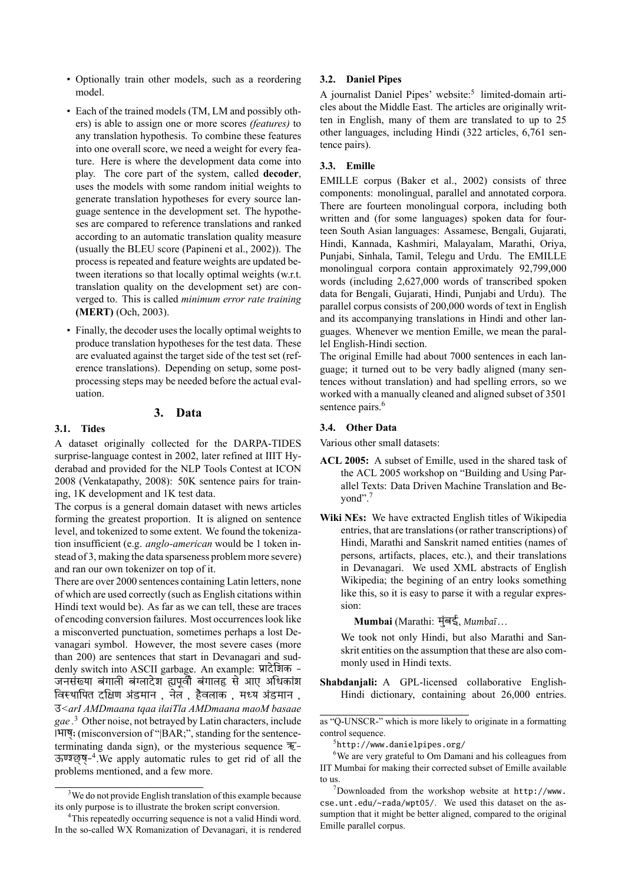- Optionally train other models, such as a reordering model.
- Each of the trained models (TM, LM and possibly others) is able to assign one or more scores *(features)* to any translation hypothesis. To combine these features into one overall score, we need a weight for every feature. Here is where the development data come into play. The core part of the system, called **decoder**, uses the models with some random initial weights to generate translation hypotheses for every source language sentence in the development set. The hypotheses are compared to reference translations and ranked according to an automatic translation quality measure (usually the BLEU score (Papineni et al., 2002)). The process is repeated and feature weights are updated between iterations so that locally optimal weights (w.r.t. translation quality on the development set) are converged to. This is called *[minimum error rate tr](#page-5-5)aining* **(MERT)** (Och, 2003).
- Finally, the decoder uses the locally optimal weights to produce translation hypotheses for the test data. These are evaluated against the target side of the test set (reference tra[nslations\).](#page-5-6) Depending on setup, some postprocessing steps may be needed before the actual evaluation.

#### **3. Data**

#### **3.1. Tides**

<span id="page-1-0"></span>A dataset originally collected for the DARPA-TIDES surprise-language contest in 2002, later refined at IIIT Hyderabad and provided for the NLP Tools Contest at ICON 2008 (Venkatapathy, 2008): 50K sentence pairs for training, 1K development and 1K test data.

The corpus is a general domain dataset with news articles forming the greatest proportion. It is aligned on sentence level, [and tokenized to som](#page-5-7)e extent. We found the tokenization insufficient (e.g. *anglo-american* would be 1 token instead of 3, making the data sparseness problem more severe) and ran our own tokenizer on top of it.

There are over 2000 sentences containing Latin letters, none of which are used correctly (such as English citations within Hindi text would be). As far as we can tell, these are traces of encoding conversion failures. Most occurrences look like a misconverted punctuation, sometimes perhaps a lost Devanagari symbol. However, the most severe cases (more than 200) are sentences that start in Devanagari and suddenly switch into ASCII garbage. An example: प्रादेशिक -जनसंख्या बंगाली बंग्लादेश ह्यपूर्वी बंगालह से आए अधिकांश िवथािपत दिण अंडमान , नेल , हैवलाक , मय अंडमान , उ*<arI AMDmaana tqaa ilaiTla AMDmaana maoM basaae gae .*<sup>3</sup> Other noise, not betrayed by Latin characters, include |भाष्; (misconversion of "|BAR;", standing for the sentenceterminating danda sign), or the mysterious sequence  $\overline{R}$ -ऊण्श्छ्ष्-<sup>4</sup>. We apply automatic rules to get rid of all the prob[le](#page-1-1)ms mentioned, and a few more.

### **3.2. Daniel Pipes**

A journalist Daniel Pipes' website:<sup>5</sup> limited-domain articles about the Middle East. The articles are originally written in English, many of them are translated to up to 25 other languages, including Hindi (322 articles, 6,761 sentence pairs).

#### **3.3. Emille**

EMILLE corpus (Baker et al., 2002) consists of three components: monolingual, parallel and annotated corpora. There are fourteen monolingual corpora, including both written and (for some languages) spoken data for fourteen South Asian l[anguages: Assamese](#page-4-2), Bengali, Gujarati, Hindi, Kannada, Kashmiri, Malayalam, Marathi, Oriya, Punjabi, Sinhala, Tamil, Telegu and Urdu. The EMILLE monolingual corpora contain approximately 92,799,000 words (including 2,627,000 words of transcribed spoken data for Bengali, Gujarati, Hindi, Punjabi and Urdu). The parallel corpus consists of 200,000 words of text in English and its accompanying translations in Hindi and other languages. Whenever we mention Emille, we mean the parallel English-Hindi section.

The original Emille had about 7000 sentences in each language; it turned out to be very badly aligned (many sentences without translation) and had spelling errors, so we worked with a manually cleaned and aligned subset of 3501 sentence pairs.<sup>6</sup>

#### **3.4. Other Data**

Various other small datasets:

- <span id="page-1-5"></span>**ACL 2005:** A [s](#page-1-3)ubset of Emille, used in the shared task of the ACL 2005 workshop on "Building and Using Parallel Texts: Data Driven Machine Translation and Beyond".<sup>7</sup>
- **Wiki NEs:** We have extracted English titles of Wikipedia entries, that are translations (or rather transcriptions) of Hindi, [M](#page-1-4)arathi and Sanskrit named entities (names of persons, artifacts, places, etc.), and their translations in Devanagari. We used XML abstracts of English Wikipedia; the begining of an entry looks something like this, so it is easy to parse it with a regular expression:

**Mumbai** (Marathi: मुंबई, *Mumbaī*…

We took not only Hindi, but also Marathi and Sanskrit entities on the assumption that these are also commonly used in Hindi texts.

**Shabdanjali:** A GPL-licensed collaborative English-Hindi dictionary, containing about 26,000 entries.

 $3\,\text{We}$  do not provide English translation of this example because its only p[ur](#page-1-2)pose is to illustrate the broken script conversion.

<span id="page-1-2"></span><span id="page-1-1"></span><sup>&</sup>lt;sup>4</sup>This repeatedly occurring sequence is not a valid Hindi word. In the so-called WX Romanization of Devanagari, it is rendered

as "Q-UNSCR-" which is more likely to originate in a formatting control sequence.

<sup>5</sup> http://www.danielpipes.org/

<sup>&</sup>lt;sup>6</sup>We are very grateful to Om Damani and his colleagues from IIT Mumbai for making their corrected subset of Emille available to us.

<span id="page-1-4"></span><span id="page-1-3"></span> $7$ [Downloaded from the workshop](http://www.danielpipes.org/) website at http://www. cse.unt.edu/~rada/wpt05/. We used this dataset on the assumption that it might be better aligned, compared to the original Emille parallel corpus.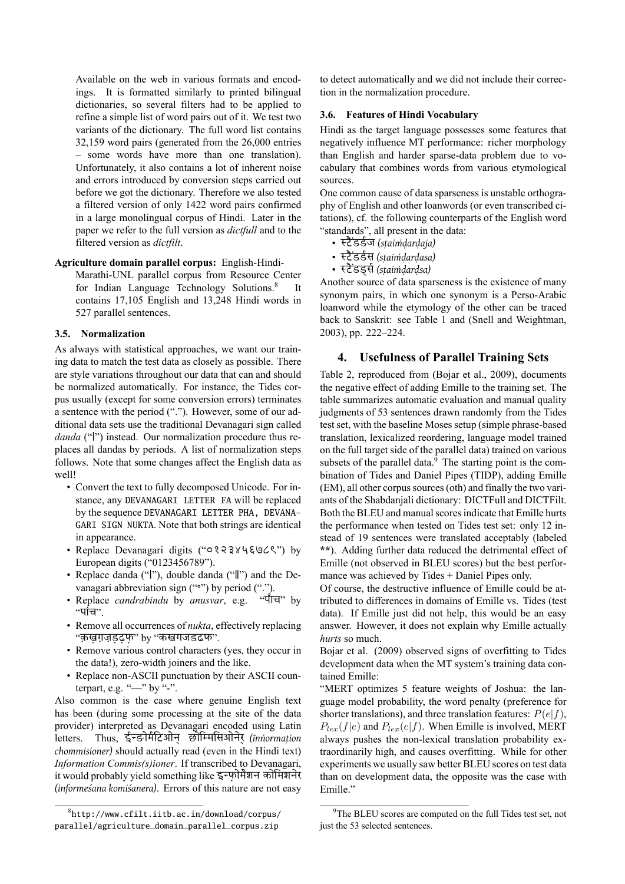Available on the web in various formats and encodings. It is formatted similarly to printed bilingual dictionaries, so several filters had to be applied to refine a simple list of word pairs out of it. We test two variants of the dictionary. The full word list contains 32,159 word pairs (generated from the 26,000 entries – some words have more than one translation). Unfortunately, it also contains a lot of inherent noise and errors introduced by conversion steps carried out before we got the dictionary. Therefore we also tested a filtered version of only 1422 word pairs confirmed in a large monolingual corpus of Hindi. Later in the paper we refer to the full version as *dictfull* and to the filtered version as *dictfilt*.

#### **Agriculture domain parallel corpus:** English-Hindi-

Marathi-UNL parallel corpus from Resource Center for Indian Language Technology Solutions.<sup>8</sup> It contains 17,105 English and 13,248 Hindi words in 527 parallel sentences.

#### **3.5. Normalization**

As always with statistical approaches, we want our training data to match the test data as closely as possible. There are style variations throughout our data that can and should be normalized automatically. For instance, the Tides corpus usually (except for some conversion errors) terminates a sentence with the period ("."). However, some of our additional data sets use the traditional Devanagari sign called *danda* ("।") instead. Our normalization procedure thus replaces all dandas by periods. A list of normalization steps follows. Note that some changes affect the English data as well!

- Convert the text to fully decomposed Unicode. For instance, any DEVANAGARI LETTER FA will be replaced by the sequence DEVANAGARI LETTER PHA, DEVANA-GARI SIGN NUKTA. Note that both strings are identical in appearance.
- Replace Devanagari digits ("०१२३४५६७८९") by European digits ("0123456789").
- Replace danda ("|"), double danda ("|") and the Devanagari abbreviation sign ("°") by period (".").<br>Replace *candrabindu* by *anusvar*, e.g. "पाँच" by
- Replace *candrabindu* by *anusvar*, e.g.  $"$ पांच".
- Remove all occurrences of *nukta*, effectively replacing "क़ख़ग़ज़ड़ढ़फ़" by "कखगजडढफ".
- Remove various control characters (yes, they occur in the data!), zero-width joiners and the like.
- Replace non-ASCII punctuation by their ASCII counterpart, e.g. " $-$ " by "-".

Also common is the case where genuine English text has been (during some processing at the site of the data provider) interpreted as Devanagari encoded using Latin letters. Thus, ईङोमिटओन् छोिमिसओनेर् *(īnṅormaṭion chommisioner)* should actually read (even in the Hindi text) *Information Commis(s)ioner*. If transcribed to Devanagari, it would probably yield something like इफ़ोमेशन कोिमशनेर *(informeśana komiśanera)*. Errors of this nature are not easy

to detect automatically and we did not include their correction in the normalization procedure.

#### **3.6. Features of Hindi Vocabulary**

Hindi as the target language possesses some features that negatively influence MT performance: richer morphology than English and harder sparse-data problem due to vocabulary that combines words from various etymological sources.

One common cause of data sparseness is unstable orthography of English and other loanwords (or even transcribed citations), cf. the following counterparts of the English word "standards", all present in the data:

- टै ंडडज *(sṭaiṁḍarḍaja)*
- टै ंडडस *(sṭaiṁḍarḍasa)*
- टै ंडड्स*(sṭaiṁḍarḍsa)*

Another source of data sparseness is the existence of many synonym pairs, in which one synonym is a Perso-Arabic loanword while the etymology of the other can be traced back to Sanskrit: see Table 1 and (Snell and Weightman, 2003), pp. 222–224.

# **4. Usefulness of Parallel Training Sets**

Table 2, reproduced from ([Bo](#page-3-0)jar et [al., 2009\), documents](#page-5-8) [the ne](#page-5-8)gative effect of adding Emille to the training set. The table summarizes automatic evaluation and manual quality judgments of 53 sentences drawn randomly from the Tides test se[t,](#page-3-1) with the baseline M[oses setup \(simple](#page-4-1) phrase-based translation, lexicalized reordering, language model trained on the full target side of the parallel data) trained on various subsets of the parallel data. $9$  The starting point is the combination of Tides and Daniel Pipes (TIDP), adding Emille (EM), all other corpus sources (oth) and finally the two variants of the Shabdanjali dictionary: DICTFull and DICTFilt. Both the BLEU and manual [s](#page-2-0)cores indicate that Emille hurts the performance when tested on Tides test set: only 12 instead of 19 sentences were translated acceptably (labeled **\*\***). Adding further data reduced the detrimental effect of Emille (not observed in BLEU scores) but the best performance was achieved by Tides + Daniel Pipes only.

Of course, the destructive influence of Emille could be attributed to differences in domains of Emille vs. Tides (test data). If Emille just did not help, this would be an easy answer. However, it does not explain why Emille actually *hurts* so much.

Bojar et al. (2009) observed signs of overfitting to Tides development data when the MT system's training data contained Emille:

"MERT optimizes 5 feature weights of Joshua: the lan[guage model proba](#page-4-1)bility, the word penalty (preference for shorter translations), and three translation features: *P*(*e|f*),  $P_{lex}(f|e)$  and  $P_{lex}(e|f)$ . When Emille is involved, MERT always pushes the non-lexical translation probability extraordinarily high, and causes overfitting. While for other experiments we usually saw better BLEU scores on test data than on development data, the opposite was the case with Emille."

<sup>8</sup> http://www.cfilt.iitb.ac.in/download/corpus/ parallel/agriculture\_domain\_parallel\_corpus.zip

<span id="page-2-0"></span><sup>&</sup>lt;sup>9</sup>The BLEU scores are computed on the full Tides test set, not just the 53 selected sentences.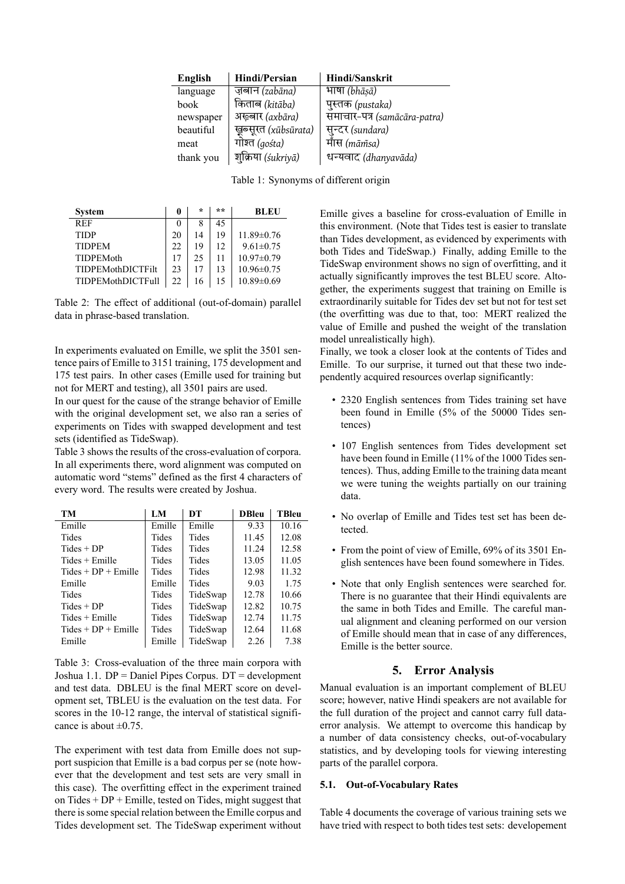| English   | Hindi/Persian        | <b>Hindi/Sanskrit</b>        |
|-----------|----------------------|------------------------------|
| language  | ज़बान (zabāna)       | भाषा (bhāsā)                 |
| book      | किताब (kitāba)       | पुस्तक (pustaka)             |
| newspaper | अख़्बार (axbāra)     | समाचार-पत्र (samācāra-patra) |
| beautiful | खूब्सूरत (xubsurata) | सुन्दर (sundara)             |
| meat      | गोश्त (gośta)        | माँस (mām̃sa)                |
| thank you | शुक्रिया (śukriyā)   | धन्यवाद (dhanyavāda)         |

Table 1: Synonyms of different origin

| <b>System</b>            | 0  | $\star$ | ** | <b>BLEU</b>      |
|--------------------------|----|---------|----|------------------|
| <b>REF</b>               | 0  | 8       | 45 |                  |
| <b>TIDP</b>              | 20 | 14      | 19 | $11.89 \pm 0.76$ |
| <b>TIDPEM</b>            | 22 | 19      | 12 | $9.61 \pm 0.75$  |
| <b>TIDPEMoth</b>         | 17 | 25      | 11 | $10.97 \pm 0.79$ |
| <b>TIDPEMothDICTFilt</b> | 23 | 17      | 13 | $10.96 \pm 0.75$ |
| <b>TIDPEMothDICTFull</b> | 22 | 16      | 15 | $10.89 \pm 0.69$ |

Table 2: The effect of additional (out-of-domain) parallel data in phrase-based translation.

<span id="page-3-1"></span>In experiments evaluated on Emille, we split the 3501 sentence pairs of Emille to 3151 training, 175 development and 175 test pairs. In other cases (Emille used for training but not for MERT and testing), all 3501 pairs are used.

In our quest for the cause of the strange behavior of Emille with the original development set, we also ran a series of experiments on Tides with swapped development and test sets (identified as TideSwap).

Table 3 shows the results of the cross-evaluation of corpora. In all experiments there, word alignment was computed on automatic word "stems" defined as the first 4 characters of every word. The results were created by Joshua.

| TM                    | LM     | DT       | <b>DBleu</b> | <b>TBleu</b> |
|-----------------------|--------|----------|--------------|--------------|
| Emille                | Emille | Emille   | 9.33         | 10.16        |
| Tides                 | Tides  | Tides    | 11.45        | 12.08        |
| $Tides + DP$          | Tides  | Tides    | 11.24        | 12.58        |
| Tides + Emille        | Tides  | Tides    | 13.05        | 11.05        |
| $Tides + DP + Emille$ | Tides  | Tides    | 12.98        | 11.32        |
| Emille                | Emille | Tides    | 9.03         | 1.75         |
| Tides                 | Tides  | TideSwap | 12.78        | 10.66        |
| $Tides + DP$          | Tides  | TideSwap | 12.82        | 10.75        |
| $Tides + Emille$      | Tides  | TideSwap | 12.74        | 11.75        |
| $Tides + DP + Emille$ | Tides  | TideSwap | 12.64        | 11.68        |
| Emille                | Emille | TideSwap | 2.26         | 7.38         |

Table 3: Cross-evaluation of the three main corpora with Joshua 1.1. DP = Daniel Pipes Corpus. DT = development and test data. DBLEU is the final MERT score on development set, TBLEU is the evaluation on the test data. For scores in the 10-12 range, the interval of statistical significance is about  $\pm 0.75$ .

The experiment with test data from Emille does not support suspicion that Emille is a bad corpus per se (note however that the development and test sets are very small in this case). The overfitting effect in the experiment trained on Tides  $+DP + Emille$ , tested on Tides, might suggest that there is some special relation between the Emille corpus and Tides development set. The TideSwap experiment without

<span id="page-3-0"></span>Emille gives a baseline for cross-evaluation of Emille in this environment. (Note that Tides test is easier to translate than Tides development, as evidenced by experiments with both Tides and TideSwap.) Finally, adding Emille to the TideSwap environment shows no sign of overfitting, and it actually significantly improves the test BLEU score. Altogether, the experiments suggest that training on Emille is extraordinarily suitable for Tides dev set but not for test set (the overfitting was due to that, too: MERT realized the value of Emille and pushed the weight of the translation model unrealistically high).

Finally, we took a closer look at the contents of Tides and Emille. To our surprise, it turned out that these two independently acquired resources overlap significantly:

- 2320 English sentences from Tides training set have been found in Emille (5% of the 50000 Tides sentences)
- 107 English sentences from Tides development set have been found in Emille (11% of the 1000 Tides sentences). Thus, adding Emille to the training data meant we were tuning the weights partially on our training data.
- No overlap of Emille and Tides test set has been detected.
- From the point of view of Emille, 69% of its 3501 English sentences have been found somewhere in Tides.
- Note that only English sentences were searched for. There is no guarantee that their Hindi equivalents are the same in both Tides and Emille. The careful manual alignment and cleaning performed on our version of Emille should mean that in case of any differences, Emille is the better source.

## **5. Error Analysis**

Manual evaluation is an important complement of BLEU score; however, native Hindi speakers are not available for the full duration of the project and cannot carry full dataerror analysis. We attempt to overcome this handicap by a number of data consistency checks, out-of-vocabulary statistics, and by developing tools for viewing interesting parts of the parallel corpora.

#### **5.1. Out-of-Vocabulary Rates**

Table 4 documents the coverage of various training sets we have tried with respect to both tides test sets: developement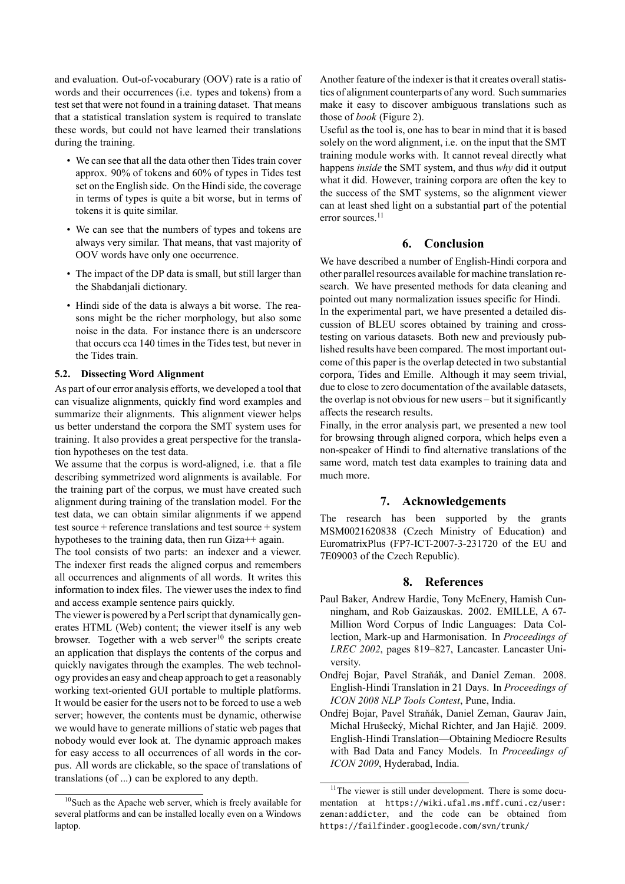and evaluation. Out-of-vocaburary (OOV) rate is a ratio of words and their occurrences (i.e. types and tokens) from a test set that were not found in a training dataset. That means that a statistical translation system is required to translate these words, but could not have learned their translations during the training.

- We can see that all the data other then Tides train cover approx. 90% of tokens and 60% of types in Tides test set on the English side. On the Hindi side, the coverage in terms of types is quite a bit worse, but in terms of tokens it is quite similar.
- We can see that the numbers of types and tokens are always very similar. That means, that vast majority of OOV words have only one occurrence.
- The impact of the DP data is small, but still larger than the Shabdanjali dictionary.
- Hindi side of the data is always a bit worse. The reasons might be the richer morphology, but also some noise in the data. For instance there is an underscore that occurs cca 140 times in the Tides test, but never in the Tides train.

#### **5.2. Dissecting Word Alignment**

As part of our error analysis efforts, we developed a tool that can visualize alignments, quickly find word examples and summarize their alignments. This alignment viewer helps us better understand the corpora the SMT system uses for training. It also provides a great perspective for the translation hypotheses on the test data.

We assume that the corpus is word-aligned, i.e. that a file describing symmetrized word alignments is available. For the training part of the corpus, we must have created such alignment during training of the translation model. For the test data, we can obtain similar alignments if we append test source + reference translations and test source + system hypotheses to the training data, then run Giza++ again.

The tool consists of two parts: an indexer and a viewer. The indexer first reads the aligned corpus and remembers all occurrences and alignments of all words. It writes this information to index files. The viewer uses the index to find and access example sentence pairs quickly.

The viewer is powered by a Perl script that dynamically generates HTML (Web) content; the viewer itself is any web browser. Together with a web server $10$  the scripts create an application that displays the contents of the corpus and quickly navigates through the examples. The web technology provides an easy and cheap approach to get a reasonably working text-oriented GUI portable t[o m](#page-4-3)ultiple platforms. It would be easier for the users not to be forced to use a web server; however, the contents must be dynamic, otherwise we would have to generate millions of static web pages that nobody would ever look at. The dynamic approach makes for easy access to all occurrences of all words in the corpus. All words are clickable, so the space of translations of translations (of ...) can be explored to any depth.

Another feature of the indexer is that it creates overall statistics of alignment counterparts of any word. Such summaries make it easy to discover ambiguous translations such as those of *book* (Figure 2).

Useful as the tool is, one has to bear in mind that it is based solely on the word alignment, i.e. on the input that the SMT training module works with. It cannot reveal directly what happens *inside* the S[MT](#page-6-0) system, and thus *why* did it output what it did. However, training corpora are often the key to the success of the SMT systems, so the alignment viewer can at least shed light on a substantial part of the potential error sources.<sup>11</sup>

### **6. Conclusion**

We have des[crib](#page-4-4)ed a number of English-Hindi corpora and other parallel resources available for machine translation research. We have presented methods for data cleaning and pointed out many normalization issues specific for Hindi.

In the experimental part, we have presented a detailed discussion of BLEU scores obtained by training and crosstesting on various datasets. Both new and previously published results have been compared. The most important outcome of this paper is the overlap detected in two substantial corpora, Tides and Emille. Although it may seem trivial, due to close to zero documentation of the available datasets, the overlap is not obvious for new users – but it significantly affects the research results.

Finally, in the error analysis part, we presented a new tool for browsing through aligned corpora, which helps even a non-speaker of Hindi to find alternative translations of the same word, match test data examples to training data and much more.

## **7. Acknowledgements**

The research has been supported by the grants MSM0021620838 (Czech Ministry of Education) and EuromatrixPlus (FP7-ICT-2007-3-231720 of the EU and 7E09003 of the Czech Republic).

## **8. References**

- Paul Baker, Andrew Hardie, Tony McEnery, Hamish Cunningham, and Rob Gaizauskas. 2002. EMILLE, A 67- Million Word Corpus of Indic Languages: Data Collection, Mark-up and Harmonisation. In *Proceedings of LREC 2002*, pages 819–827, Lancaster. Lancaster University.
- <span id="page-4-2"></span>Ondřej Bojar, Pavel Straňák, and Daniel Zeman. 2008. English-Hindi Translation in 21 Days. In *Proceedings of ICON 2008 NLP Tools Contest*, Pune, India.
- <span id="page-4-0"></span>Ondřej Bojar, Pavel Straňák, Daniel Zeman, Gaurav Jain, Michal Hrušecký, Michal Richter, and Jan Hajič. 2009. English-Hindi Translation—Obtaining Mediocre Results with Bad Data and Fancy Models. In *Proceedings of ICON 2009*, Hyderabad, India.

<span id="page-4-3"></span><sup>&</sup>lt;sup>10</sup>Such as the Apache web server, which is freely available for several platforms and can be installed locally even on a Windows laptop.

<span id="page-4-4"></span><span id="page-4-1"></span><sup>&</sup>lt;sup>11</sup>The viewer is still under development. There is some documentation at https://wiki.ufal.ms.mff.cuni.cz/user: zeman:addicter, and the code can be obtained from https://failfinder.googlecode.com/svn/trunk/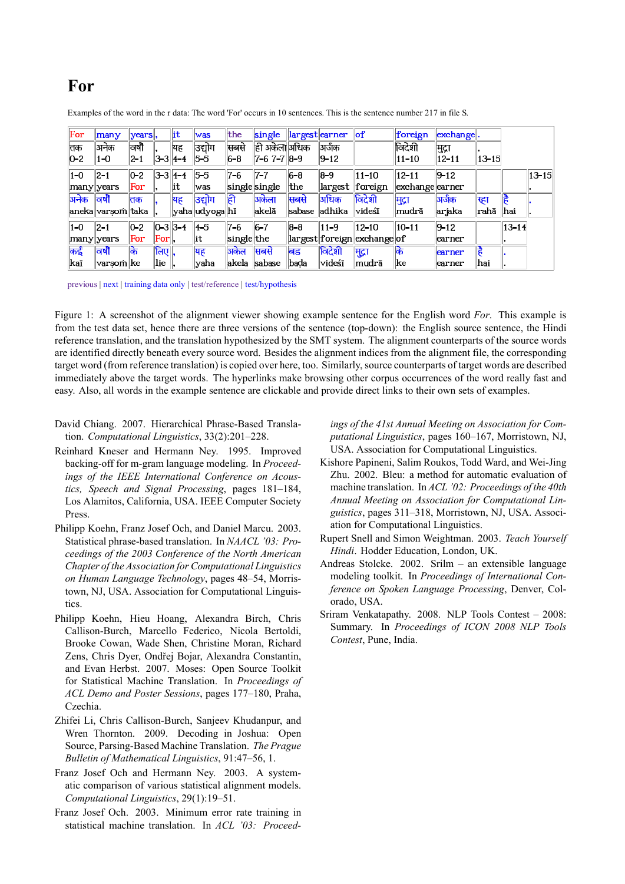# For

| For         | many              | years,  |                    | lit                     | was              | the        | single            |         | largest earner | of                          | foreign         | exchange. |             |             |           |
|-------------|-------------------|---------|--------------------|-------------------------|------------------|------------|-------------------|---------|----------------|-----------------------------|-----------------|-----------|-------------|-------------|-----------|
| तिक         | अनेक              | विषी    |                    | यह                      | उद्योग           | सबसे       | ही अकेला अधिक     |         | अर्जक          |                             | विदेशी          | मुद्रा    |             |             |           |
| $ 0-2 $     | 1-0               | $2 - 1$ |                    | $3 - 3 \mid 4 - 4$      | 5-5              | 6-8        | $7 - 67 - 78 - 9$ |         | $ 9 - 12 $     |                             | $ 11 - 10$      | $12 - 11$ | $ 13 - 15 $ |             |           |
| $ 1-0 $     | $ 2 - 1 $         | $0 - 2$ |                    | $3 - 3 \mid 4 - 4 \mid$ | $5-5$            | 7-6        | 7-7               | $6 - 8$ | $8 - 9$        | $11 - 10$                   | $12 - 11$       | $9 - 12$  |             |             | $13 - 15$ |
| many  years |                   | For     |                    | lit                     | was              |            | single single     | the     | largest        | ∥foreign                    | exchange earner |           |             |             |           |
| अनेक        | विषौ              | तक      |                    | यह                      | उद्योग           | ही         | अकेला             | सबसे    | अधिक           | विदेशी                      | मुद्रा          | अर्जक     | खा          | 信           |           |
|             | aneka varsom taka |         |                    |                         | yaha  udyoga  hī |            | akela             | sabase  | adhika         | videśī                      | mudrā           | ar jaka   | ∥rahā       | hai         |           |
| 11-0        | $ 2 - 1 $         | $0 - 2$ |                    | $ 0-3 3-4 $             | 4-5              | 7-6        | $6 - 7$           | $8 - 8$ | $11 - 9$       | $12 - 10$                   | $10 - 11$       | $9 - 12$  |             | $ 13 - 14 $ |           |
| many years  |                   | For     | For                |                         | lit              | single the |                   |         |                | largest foreign exchange of |                 | earner    |             |             |           |
| कई          | विषौ              | के      | लिए $\overline{a}$ |                         | यह               | अकेल       | सबसे              | बड      | विदेशी         | मुद्रा                      | कि              | earner    | है          |             |           |
| kaī         | ∣varsom∥ke        |         | lie                |                         | <b>yaha</b>      | akela      | sabase            | bada    | videśī         | mudra                       | ke              | earner    | hai         |             |           |

Examples of the word in the r data: The word 'For' occurs in 10 sentences. This is the sentence number 217 in file S.

previous | next | training data only | test/reference | test/hypothesis

 Figure 1: A screenshot of the alignment viewer showing example sentence for the English word *For*. This example is from the test data set, hence there are three versions of the sentence (top-down): the English source sentence, the Hindi are identified directly beneath every source word. Besides the alignment indices from the alignment file, the corresponding target word (from reference translation) is copied over here, too. Similarly, source counterparts of target words are described immediately above the target words. The hyperlinks make browsing other corpus occurrences of the word really fast and easy. Also, all words in the example sentence are clickable and provide direct links to their own sets of examples. reference translation, and the translation hypothesized by the SMT system. The alignment counterparts of the source words

- <span id="page-5-4"></span> David Chiang. 2007. Hierarchical Phrase-Based Translation. *Computational Linguistics*, 33(2):201–228.
- Reinhard Kneser and Hermann Ney. 1995. Improved backing-off for m-gram language modeling. In *Proceedings of the IEEE International Conference on Acoustics, Speech and Signal Processing*, pages 181–184, Los Alamitos, California, USA. IEEE Computer Society Press.
- <span id="page-5-3"></span>Philipp Koehn, Franz Josef Och, and Daniel Marcu. 2003. Statistical phrase-based translation. In *NAACL '03: Proceedings of the 2003 Conference of the North American Chapter of the Association for Computational Linguistics on Human Language Technology*, pages 48–54, Morristown, NJ, USA. Association for Computational Linguistics.
- <span id="page-5-0"></span>Philipp Koehn, Hieu Hoang, Alexandra Birch, Chris Callison-Burch, Marcello Federico, Nicola Bertoldi, Brooke Cowan, Wade Shen, Christine Moran, Richard Zens, Chris Dyer, Ondřej Bojar, Alexandra Constantin, and Evan Herbst. 2007. Moses: Open Source Toolkit for Statistical Machine Translation. In *Proceedings of ACL Demo and Poster Sessions*, pages 177–180, Praha, Czechia.
- <span id="page-5-1"></span>Zhifei Li, Chris Callison-Burch, Sanjeev Khudanpur, and Wren Thornton. 2009. Decoding in Joshua: Open Source, Parsing-Based Machine Translation. *The Prague Bulletin of Mathematical Linguistics*, 91:47–56, 1.
- <span id="page-5-2"></span>Franz Josef Och and Hermann Ney. 2003. A systematic comparison of various statistical alignment models. *Computational Linguistics*, 29(1):19–51.
- <span id="page-5-6"></span>Franz Josef Och. 2003. Minimum error rate training in statistical machine translation. In *ACL '03: Proceed-*

*ings of the 41st Annual Meeting on Association for Computational Linguistics*, pages 160–167, Morristown, NJ, USA. Association for Computational Linguistics.

- <span id="page-5-5"></span>Kishore Papineni, Salim Roukos, Todd Ward, and Wei-Jing Zhu. 2002. Bleu: a method for automatic evaluation of machine translation. In *ACL '02: Proceedings of the 40th Annual Meeting on Association for Computational Linguistics*, pages 311–318, Morristown, NJ, USA. Association for Computational Linguistics.
- <span id="page-5-8"></span>Rupert Snell and Simon Weightman. 2003. *Teach Yourself Hindi*. Hodder Education, London, UK.
- Andreas Stolcke. 2002. Srilm an extensible language modeling toolkit. In *Proceedings of International Conference on Spoken Language Processing*, Denver, Colorado, USA.
- <span id="page-5-7"></span>Sriram Venkatapathy. 2008. NLP Tools Contest – 2008: Summary. In *Proceedings of ICON 2008 NLP Tools Contest*, Pune, India.